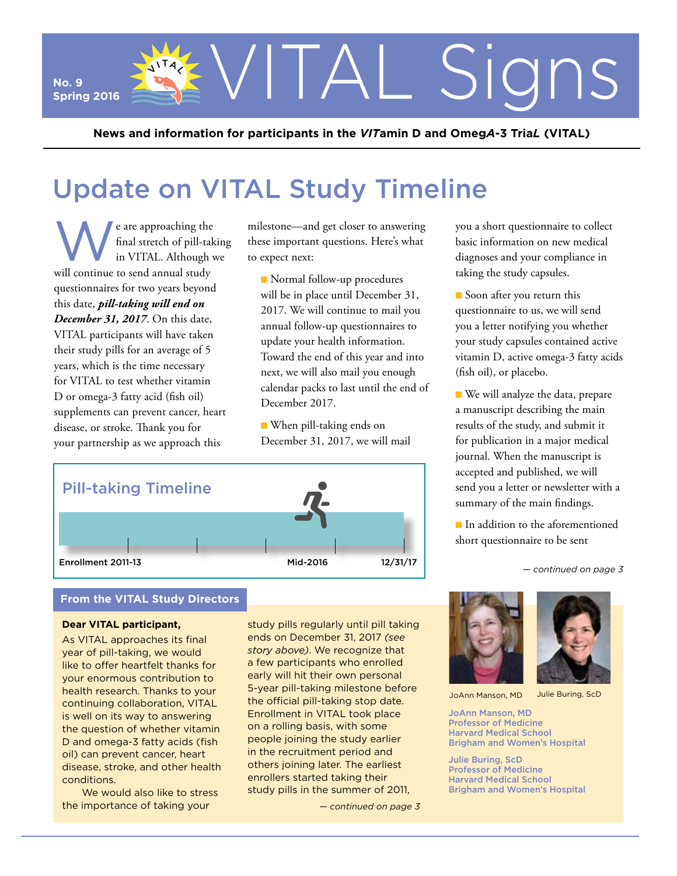**No. 9 Spring 2016**

**News and information for participants in the** *VIT***amin D and Omeg***A***-3 Tria***L* **(VITAL)**

# Update on VITAL Study Timeline

e are approaching the<br>final stretch of pill-tak<br>in VITAL. Although v final stretch of pill-taking in VITAL. Although we will continue to send annual study questionnaires for two years beyond this date, *pill-taking will end on December 31, 2017*. On this date, VITAL participants will have taken their study pills for an average of 5 years, which is the time necessary for VITAL to test whether vitamin D or omega-3 fatty acid (fish oil) supplements can prevent cancer, heart disease, or stroke. Thank you for your partnership as we approach this

 $\mathcal{S}^{\text{NT}/L}$ 

milestone—and get closer to answering these important questions. Here's what to expect next:

**Normal follow-up procedures** will be in place until December 31, 2017. We will continue to mail you annual follow-up questionnaires to update your health information. Toward the end of this year and into next, we will also mail you enough calendar packs to last until the end of December 2017.

■ When pill-taking ends on December 31, 2017, we will mail



### **From the VITAL Study Directors**

#### **Dear VITAL participant,**

As VITAL approaches its final year of pill-taking, we would like to offer heartfelt thanks for your enormous contribution to health research. Thanks to your continuing collaboration, VITAL is well on its way to answering the question of whether vitamin D and omega-3 fatty acids (fish oil) can prevent cancer, heart disease, stroke, and other health conditions.

We would also like to stress the importance of taking your

study pills regularly until pill taking ends on December 31, 2017 *(see story above)*. We recognize that a few participants who enrolled early will hit their own personal 5-year pill-taking milestone before the official pill-taking stop date. Enrollment in VITAL took place on a rolling basis, with some people joining the study earlier in the recruitment period and others joining later. The earliest enrollers started taking their study pills in the summer of 2011,

*— continued on page 3*



Signs

 $\blacksquare$  Soon after you return this questionnaire to us, we will send you a letter notifying you whether your study capsules contained active vitamin D, active omega-3 fatty acids (fish oil), or placebo.

■ We will analyze the data, prepare a manuscript describing the main results of the study, and submit it for publication in a major medical journal. When the manuscript is accepted and published, we will send you a letter or newsletter with a summary of the main findings.

■ In addition to the aforementioned short questionnaire to be sent

*<sup>—</sup> continued on page 3*





JoAnn Manson, MD

JoAnn Manson, MD Professor of Medicine Harvard Medical School Brigham and Women's Hospital

Julie Buring, ScD Professor of Medicine Harvard Medical School Brigham and Women's Hospital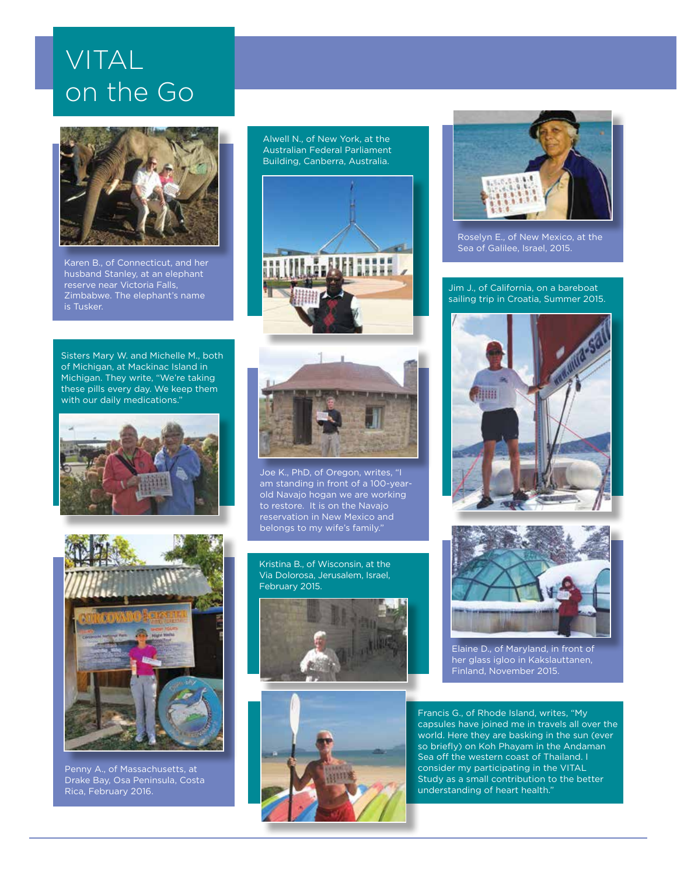# VITAL on the Go



husband Stanley, at an elephant reserve near Victoria Falls, Zimbabwe. The elephant's name is Tusker.

Sisters Mary W. and Michelle M., both of Michigan, at Mackinac Island in Michigan. They write, "We're taking these pills every day. We keep them with our daily medications."





Penny A., of Massachusetts, at Drake Bay, Osa Peninsula, Costa Rica, February 2016.

Alwell N., of New York, at the Australian Federal Parliament Building, Canberra, Australia.





Joe K., PhD, of Oregon, writes, "I am standing in front of a 100-yearold Navajo hogan we are working to restore. It is on the Navajo reservation in New Mexico and belongs to my wife's family."

Kristina B., of Wisconsin, at the Via Dolorosa, Jerusalem, Israel, February 2015.







Sea of Galilee, Israel, 2015.

Jim J., of California, on a bareboat sailing trip in Croatia, Summer 2015.





Elaine D., of Maryland, in front of her glass igloo in Kakslauttanen, Finland, November 2015.

Francis G., of Rhode Island, writes, "My capsules have joined me in travels all over the world. Here they are basking in the sun (ever so briefly) on Koh Phayam in the Andaman Sea off the western coast of Thailand. I consider my participating in the VITAL Study as a small contribution to the better understanding of heart health."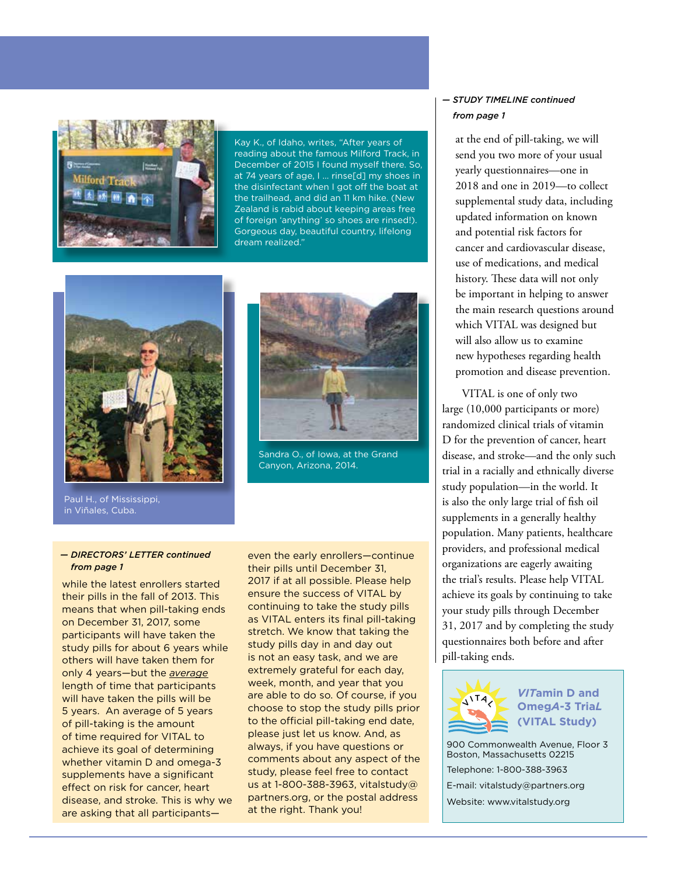

Kay K., of Idaho, writes, "After years of reading about the famous Milford Track, in December of 2015 I found myself there. So, at 74 years of age, I … rinse[d] my shoes in the disinfectant when I got off the boat at the trailhead, and did an 11 km hike. (New Zealand is rabid about keeping areas free of foreign 'anything' so shoes are rinsed!). Gorgeous day, beautiful country, lifelong dream realized."



Sandra O., of Iowa, at the Grand Canyon, Arizona, 2014.

#### Paul H., of Mississippi, in Viñales, Cuba.

*— DIRECTORS' LETTER continued from page 1*

while the latest enrollers started their pills in the fall of 2013. This means that when pill-taking ends on December 31, 2017, some participants will have taken the study pills for about 6 years while others will have taken them for only 4 years—but the *average* length of time that participants will have taken the pills will be 5 years. An average of 5 years of pill-taking is the amount of time required for VITAL to achieve its goal of determining whether vitamin D and omega-3 supplements have a significant effect on risk for cancer, heart disease, and stroke. This is why we are asking that all participants—

even the early enrollers—continue their pills until December 31, 2017 if at all possible. Please help ensure the success of VITAL by continuing to take the study pills as VITAL enters its final pill-taking stretch. We know that taking the study pills day in and day out is not an easy task, and we are extremely grateful for each day, week, month, and year that you are able to do so. Of course, if you choose to stop the study pills prior to the official pill-taking end date, please just let us know. And, as always, if you have questions or comments about any aspect of the study, please feel free to contact us at 1-800-388-3963, vitalstudy@ partners.org, or the postal address at the right. Thank you!

#### *— STUDY TIMELINE continued from page 1*

at the end of pill-taking, we will send you two more of your usual yearly questionnaires—one in 2018 and one in 2019—to collect supplemental study data, including updated information on known and potential risk factors for cancer and cardiovascular disease, use of medications, and medical history. These data will not only be important in helping to answer the main research questions around which VITAL was designed but will also allow us to examine new hypotheses regarding health promotion and disease prevention.

VITAL is one of only two large (10,000 participants or more) randomized clinical trials of vitamin D for the prevention of cancer, heart disease, and stroke—and the only such trial in a racially and ethnically diverse study population—in the world. It is also the only large trial of fish oil supplements in a generally healthy population. Many patients, healthcare providers, and professional medical organizations are eagerly awaiting the trial's results. Please help VITAL achieve its goals by continuing to take your study pills through December 31, 2017 and by completing the study questionnaires both before and after pill-taking ends.



### *VIT***amin D and Omeg***A***-3 Tria***L* **(VITAL Study)**

900 Commonwealth Avenue, Floor 3 Boston, Massachusetts 02215 Telephone: 1-800-388-3963 E-mail: vitalstudy@partners.org Website: www.vitalstudy.org